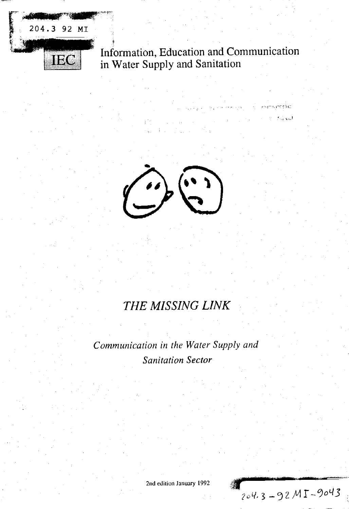

# Information, Education and Communication in Water Supply and Sanitation



# *THE MISSING LINK*

*Communication in the Water Supply and Sanitation Sector*

2nd edition January 1992

204.3-92MI-9043

eko. المحادث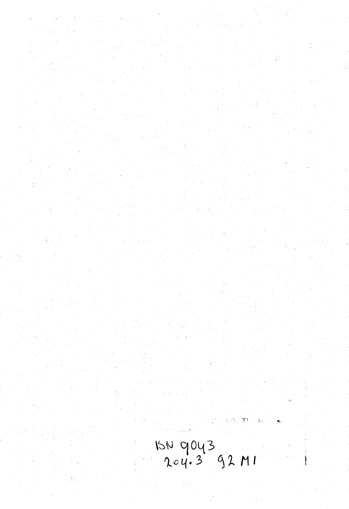15N 9043<br>204.3 92 MI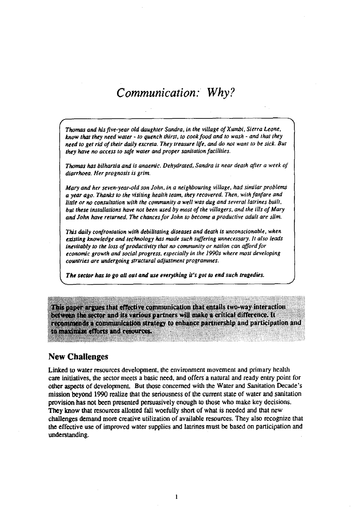# *Communication: Why?*

*Thomas and his five-year old daughter Sandra, in the village of Xumbi, Sierra Leone, know that they need water* - *to quench thirst, to cook food and to wash - and that they need to get rid of their daily excreta. They treasure life, and do not want to be sick. But they have no access to safe water and proper sanitation facilities.*

*Thomas has bilharzia and is anaemic. Dehydrated, Sandra is near death after a week of diarrhoea. Her prognosis is grim.*

*Mary and her seven-year-old son John, in a neighbouring village, had similar problems a year ago. Thanks to the visiting health team, they recovered. Then, with fanfare and little or no consultation with the community a well was dug and several latrines built, but these installations have not been used by most of the villagers, and the ills of Mary and John have returned. The chances for John to become a productive adult are slim.*

*This daily confrontation with debilitating diseases and death is unconscionable, when existing knowledge and technology has made such suffering unnecessary. It also leads inevitably to the loss of productivity that no community or nation can afford for economic growth and social progress, especially in the 1990s where most developing countries are undergoing structural adjustment programmes.*

*The sector has to go all out and use everything it's got to end such tragedies.*

This paper argues that effective communication that entails two-way interaction between the sector and its various partners will make a critical difference. It recommends a communication strategy to enhance partnership and participation and to maximize efforts and regaurees.

## **New Challenges**

Linked to water resources development, the environment movement and primary health care initiatives, the sector meets a basic need, and offers a natural and ready entry point for other aspects of development. But those concerned with the Water and Sanitation Decade's mission beyond 1990 realize that the seriousness of the current state of water and sanitation provision has not been presented persuasively enough to those who make key decisions. They know that resources allotted fall woefully short of what is needed and that new challenges demand more creative utilization of available resources. They also recognize that the effective use of improved water supplies and latrines must be based on participation and understanding.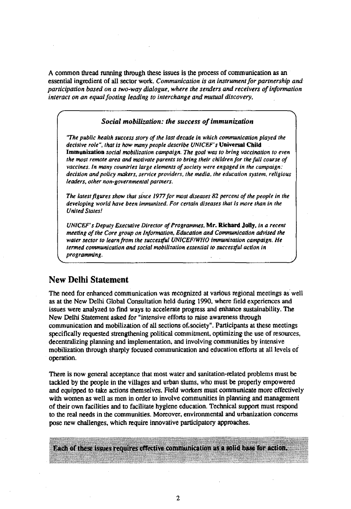A common thread running through these issues is the process of communication as an essential ingredient of all sector work. *Communication is an instrument for partnership and participation based on a two-way dialogue, where the senders and receivers of information interact on an equal footing leading to interchange and mutual discovery.*

### *Social mobilization: the success of immunization*

*"The public health success story of the last decade in which communication played the decisive role", that is how many people describe UNICEF's* **Universal Child Immunization** *social mobilization campaign. The goal was to bring vaccination to even the most remote area and motivate parents to bring their children for the full course of vaccines. In many countries large elements of society were engaged in the campaign: decision and policy makers, service providers, the media, the education system, religious leaders, other non-governmental partners.*

*The latest figures show that since 1977 for most diseases 82 percent of the people in the developing world have been immunized. For certain diseases that is more than in the United States!*

*UNICEF's Deputy Executive Director of Programmes,* **Mr. Richard Jolly,** *in a recent meeting of the Core group on Information, Education and Communication advised the water sector to learn from the successful UNICEF/WHO immunization campaign. He termed communication and social mobilization essential to successful action in programming.*

# **New Delhi Statement**

The need for enhanced communication was recognized at various regional meetings as well as at the New Delhi Global Consultation held during 1990, where field experiences and issues were analyzed to find ways to accelerate progress and enhance sustainability. The New Delhi Statement asked for "intensive efforts to raise awareness through communication and mobilization of all sections of.society". Participants at these meetings specifically requested strengthening political commitment, optimizing the use of resources, decentralizing planning and implementation, and involving communities by intensive mobilization through sharply focused communication and education efforts at all levels of operation.

There is now general acceptance that most water and sanitation-related problems must be tackled by the people in the villages and urban slums, who must be properly empowered and equipped to take actions themselves. Field workers must communicate more effectively with women as well as men in order to involve communities in planning and management of their own facilities and to facilitate hygiene education. Technical support must respond to the real needs in the communities. Moreover, environmental and urbanization concerns pose new challenges, which require innovative participatory approaches.

Each of these issues requires effective communication as a solid base for action.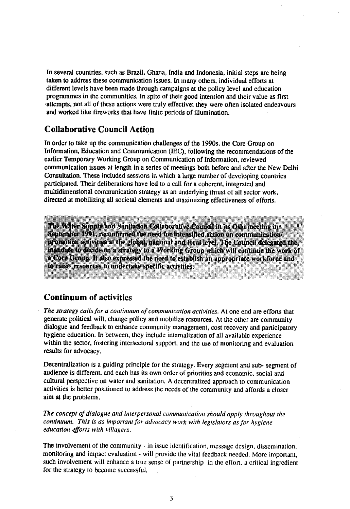In several countries, such as Brazil, Ghana, India and Indonesia, initial steps are being taken to address these communication issues. In many others, individual efforts at different levels have been made through campaigns at the policy level and education programmes in the communities. In spite of their good intention and their value as first •attempts, not all of these actions were truly effective; they were often isolated endeavours and worked like fireworks that have finite periods of illumination.

# **Collaborative Council Action**

**In** order to take up the communication challenges of the 1990s, the Core Group on Information, Education and Communication (IEC), following the recommendations of the earlier Temporary Working Group on Communication of Information, reviewed communication issues at length in a series of meetings both before and after the New Delhi Consultation. These included sessions in which a large number of developing countries participated. Their deliberations have led to a call for a coherent, integrated and multidimensional communication strategy as an underlying thrust of all sector work, directed at mobilizing all societal elements and maximizing effectiveness of efforts.

The Water Supply and Sanifation Collaborative Council in its Oslo meeting in September 1991, reconfirmed the need for intensified action on communication/ promotion activities at the global, national and local level. The Council delegated the mandate to decide on a strategy to a Working Group which will continue the work of **2** Core Group. It also expressed the need to establish an appropriate workforce and **ko raise** resources to undertake specific activities. ; .:.>,"•,<•• . • . • ••: 'V; - *-7V: i:.-'*

# **Continuum of activities**

*<fc&miy:{y*

The strategy calls for a continuum of communication activities. At one end are efforts that generate political will, change policy and mobilize resources. At the other are community dialogue and feedback to enhance community management, cost recovery and participatory hygiene education. In between, they include intemalization of all available experience within the sector, fostering intersectoral support, and the use of monitoring and evaluation results for advocacy.

Decentralization is a guiding principle for the strategy. Every segment and sub- segment of audience is different, and each has its own order of priorities and economic, social and cultural perspective on water and sanitation. A decentralized approach to communication activities is better positioned to address the needs of the community and affords a closer aim at the problems.

*The concept of dialogue and interpersonal communication should apply throughout the continuum. This is as important for advocacy work with legislators as for hygiene education efforts with villagers.*

The involvement of the community - in issue identification, message design, dissemination, monitoring and impact evaluation - will provide the vital feedback needed. More important, such involvement will enhance a true sense of partnership in the effort, a critical ingredient for the strategy to become successful.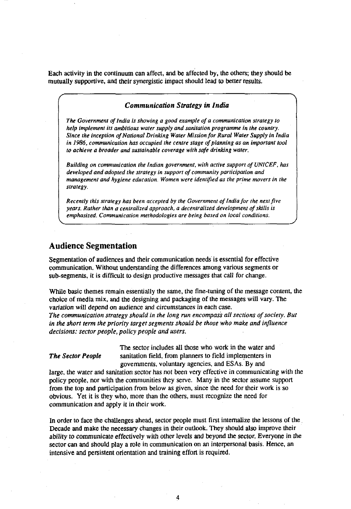Each activity in the continuum can affect, and be affected by, the others; they should be mutually supportive, and their synergistic impact should lead to better results.

### *Communication Strategy in India*

*The Government of India Is showing a good example of a communication strategy to help implement its ambitious water supply and sanitation programme in the country. Since the inception of National Drinking Water Mission for Rural Water Supply in India in 1986, communication has occupied the centre stage of planning as an important tool to achieve a broader and sustainable coverage with safe drinking water.*

*Building on communication the Indian government, with active support of UNICEF, has developed and adopted the strategy in support of community participation and management and hygiene education. Women were identified as the prime movers in the strategy.*

*Recently this strategy has been accepted by the Government of India for the next five years. Rather than a centralized approach, a decentralized development of skills is emphasized. Communication methodologies are being based on local conditions.*

## **Audience Segmentation**

Segmentation of audiences and their communication needs is essential for effective communication. Without understanding the differences among various segments or sub-segments, it is difficult to design productive messages that call for change.

While basic themes remain essentially the same, the fine-tuning of the message content, the choice of media mix, and the designing and packaging of the messages will vary. The variation will depend on audience and circumstances in each case.

*The communication strategy should in the long run encompass all sections of society. But in the short term the priority target segments should be those who make and influence decisions: sector people, policy people and users.*

The sector includes all those who work in the water and **The Sector People** sanitation field, from planners to field implementers in governments, voluntary agencies, and ESAs. By and

large, the water and sanitation sector has not been very effective in communicating with the policy people, nor with the communities they serve. Many in the sector assume support from the top and participation from below as given, since the need for their work is so obvious. Yet it is they who, more than the others, must recognize the need for communication and apply it in their work.

In order to face the challenges ahead, sector people must first internalize the lessons of the Decade and make the necessary changes in their outlook. They should also improve their ability to communicate effectively with other levels and beyond the sector. Everyone in the sector can and should play a role in communication on an interpersonal basis. Hence, an intensive and persistent orientation and training effort is required.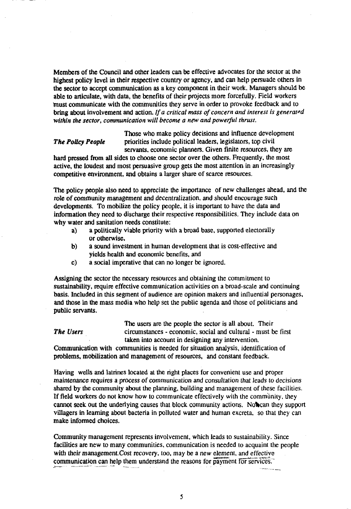Members of the Council and other leaders can be effective advocates for the sector at the highest policy level in their respective country or agency, and can help persuade others in the sector to accept communication as a key component in their work. Managers should be able to articulate, with data, the benefits of their projects more forcefully. Field workers tnust communicate with the communities they serve in order to provoke feedback and to bring about involvement and action. *If a critical mass of concern and interest is generafd within the sector, communication will become a new and powerful thrust.*

Those who make policy decisions and influence development **The Policy People** priorities include political leaders, legislators, top civil servants, economic planners. Given finite resources, they are

hard pressed from all sides to choose one sector over the others. Frequently, the most active, the loudest and most persuasive group gets the most attention in an increasingly competitive environment, and obtains a larger share of scarce resources.

The policy people also need to appreciate the importance of new challenges ahead, and the role of community management and decentralization, and should encourage such developments. To mobilize the policy people, it is important to have the data and information they need to discharge their respective responsibilities. They include data on why water and sanitation needs constitute:

- a) a politically viable priority with a broad base, supported electorally or otherwise,
- b) a sound investment in human development that is cost-effective and yields health and economic benefits, and
- c) a social imperative that can no longer be ignored.

Assigning the sector the necessary resources and obtaining the commitment to sustainability, require effective communication activities on a broad-scale and continuing basis. Included in this segment of audience are opinion makers and influential personages, and those in the mass media who help set the public agenda and those of politicians and public servants.

The users are the people the sector is all about. Their *The Users* circumstances - economic, social and cultural - must be first taken into account in designing any intervention.

Communication with communities is needed for situation analysis, identification of problems, mobilization and management of resources, and constant feedback.

Having wells and latrines located at the right places for convenient use and proper maintenance requires a process of communication and consultation that leads to decisions shared by the community about the planning, building and management of these facilities. If field workers do not know how to communicate effectively with the community, they cannot seek out the underlying causes that block community actions. Not can they support villagers in learning about bacteria in polluted water and human excreta, so that they can make informed choices.

Community management represents involvement, which leads to sustainability. Since facilities are new to many communities, communication is needed to acquaint the people with their management. Cost recovery, too, may be a new element, and effective communication can help them understand the reasons for payment for services."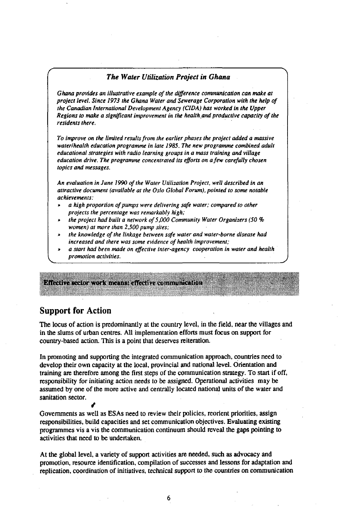### *The Water Utilization Project in Ghana*

*Ghana provides an illustrative example of the difference communication can make at project level. Since 1973 the Ghana Water and Sewerage Corporation with the help of the Canadian International Development Agency (CIDA) has worked in the Upper Regions to make a significant improvement in the health and productive capacity of the residents there.*

*To improve on the limited results from the earlier phases the project added a massive water/health education programme in late 1985. The new programme combined adult educational strategies with radio learning groups in a mass training and village education drive. The programme concentrated its efforts on a few carefully chosen topics and messages.*

*An evaluation in June 1990 of the Water Utilization Project, well described in an attractive document (available at the Oslo Global Forum), pointed to some notable achievements:*

- **»** *a high proportion of pumps were delivering safe water; compared to other projects the percentage was remarkably high;*
- **»** *the project had built a network of 5,000 Community Water Organizers (50 %* women) at more than 2,500 pump sites;
- *» the knowledge of the linkage between safe water and water-borne disease had increased and there was some evidence of health improvement;*
- **»** *a start had been made on effective inter-agency cooperation in water and health promotion activities.*

**Effective sector work means: effective communication** 

# **Support for Action**

/

The locus of action is predominantly at the country level, in the field, near the villages and in the slums of urban centres. All implementation efforts must focus on support for country-based action. This is a point that deserves reiteration.

In promoting and supporting the integrated communication approach, countries need to develop their own capacity at the local, provincial and national level. Orientation and training are therefore among the first steps of the communication strategy. To start if off, responsibility for initiating action needs *to* be assigned. Operational activities may be assumed by one of the more active and centrally located national units of the water and sanitation sector.

Governments as well as ESAs need to review their policies, reorient priorities, assign responsibilities, build capacities and set communication objectives. Evaluating existing programmes vis a vis the communication continuum should reveal the gaps pointing to activities that need to be undertaken.

At the global level, a variety of support activities are needed, such as advocacy and promotion, resource identification, compilation of successes and lessons for adaptation and replication, coordination of initiatives, technical support to the countries on communication

6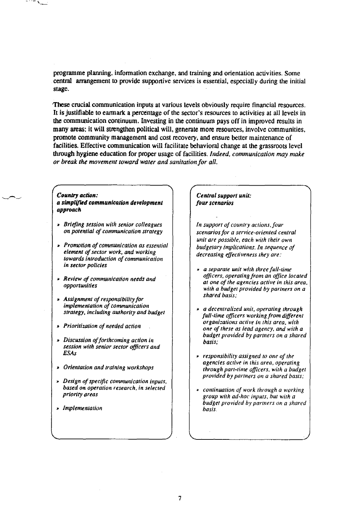programme planning, information exchange, and training and orientation activities. Some central arrangement to provide supportive services is essential, especially during the initial stage.

These crucial communication inputs at various levels obviously require financial resources. It is justifiable to earmark a percentage of the sector's resources to activities at all levels in the communication continuum. Investing in the continuum pays off in improved results in many areas: it will strengthen political will, generate more resources, involve communities, promote community management and cost recovery, and ensure better maintenance of facilities. Effective communication will facilitate behavioral change at the grassroots level through hygiene education for proper usage of facilities. *Indeed, communication may make or break the movement toward water and sanitation for all.*

### *Country action:*

### *a simplified communication development approach*

- *» Briefing session with senior colleagues on potential of communication strategy*
- \* *Promotion of communication as essential element of sector work, and working towards introduction of communication in sector policies*
- » *Review of communication needs and opportunities*
- *» Assignment of responsibility for implementation of communication strategy, including authority and budget*
- *» Prioritization of needed action*
- *» Discussion of forthcoming action in session with senior sector officers and ESAs*
- *» Orientation and training workshops*
- *» Design of specific communication inputs, based on operation research, in selected priority areas*
- » *Implementation*

### *Central support unit: four scenarios*

*In support of country actions, four scenarios for a service-oriented central unit are possible, each with their own budgetary implications. In sequence of decreasing effectiveness they are:*

- *a separate unit with three full-time officers, operating from an office located at one of the agencies active in this area, with a budget provided by partners on a shared basis;*
- » *a decentralized unit, operating through full-time officers working from different organizations active in this area, with one of these as lead agency, and with a budget provided by partners on a shared basis;*
- » *responsibility assigned to one of the agencies active in this area, operating through part-time officers, with a budget provided by partners on a shared basis;*
- • *continuation of work through a working group with ad-hoc inputs, hut with a budget provided by partners on a shared basis.*